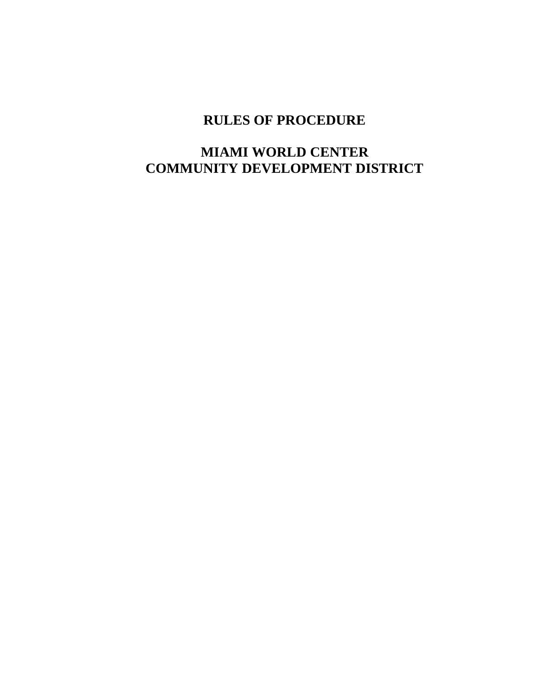# **RULES OF PROCEDURE**

# **MIAMI WORLD CENTER COMMUNITY DEVELOPMENT DISTRICT**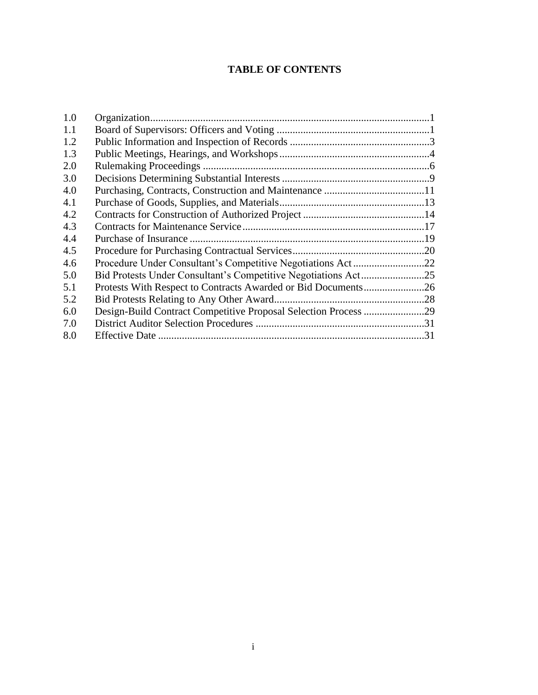## **TABLE OF CONTENTS**

| 1.0 |    |
|-----|----|
| 1.1 |    |
| 1.2 |    |
| 1.3 |    |
| 2.0 |    |
| 3.0 |    |
| 4.0 |    |
| 4.1 |    |
| 4.2 |    |
| 4.3 |    |
| 4.4 |    |
| 4.5 |    |
| 4.6 |    |
| 5.0 |    |
| 5.1 |    |
| 5.2 |    |
| 6.0 |    |
| 7.0 |    |
| 8.0 | 31 |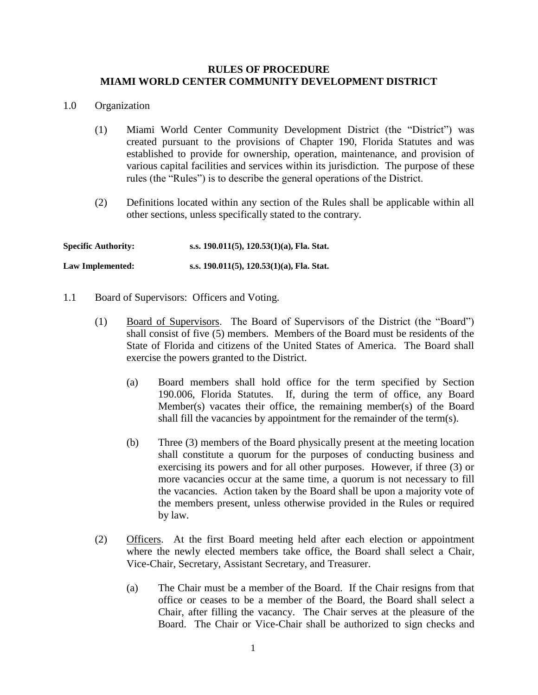#### **RULES OF PROCEDURE MIAMI WORLD CENTER COMMUNITY DEVELOPMENT DISTRICT**

#### 1.0 Organization

- (1) Miami World Center Community Development District (the "District") was created pursuant to the provisions of Chapter 190, Florida Statutes and was established to provide for ownership, operation, maintenance, and provision of various capital facilities and services within its jurisdiction. The purpose of these rules (the "Rules") is to describe the general operations of the District.
- (2) Definitions located within any section of the Rules shall be applicable within all other sections, unless specifically stated to the contrary.

**Specific Authority: s.s. 190.011(5), 120.53(1)(a), Fla. Stat. Law Implemented: s.s. 190.011(5), 120.53(1)(a), Fla. Stat.**

- 1.1 Board of Supervisors: Officers and Voting.
	- (1) Board of Supervisors. The Board of Supervisors of the District (the "Board") shall consist of five (5) members. Members of the Board must be residents of the State of Florida and citizens of the United States of America. The Board shall exercise the powers granted to the District.
		- (a) Board members shall hold office for the term specified by Section 190.006, Florida Statutes. If, during the term of office, any Board Member(s) vacates their office, the remaining member(s) of the Board shall fill the vacancies by appointment for the remainder of the term(s).
		- (b) Three (3) members of the Board physically present at the meeting location shall constitute a quorum for the purposes of conducting business and exercising its powers and for all other purposes. However, if three (3) or more vacancies occur at the same time, a quorum is not necessary to fill the vacancies. Action taken by the Board shall be upon a majority vote of the members present, unless otherwise provided in the Rules or required by law.
	- (2) Officers. At the first Board meeting held after each election or appointment where the newly elected members take office, the Board shall select a Chair, Vice-Chair, Secretary, Assistant Secretary, and Treasurer.
		- (a) The Chair must be a member of the Board. If the Chair resigns from that office or ceases to be a member of the Board, the Board shall select a Chair, after filling the vacancy. The Chair serves at the pleasure of the Board. The Chair or Vice-Chair shall be authorized to sign checks and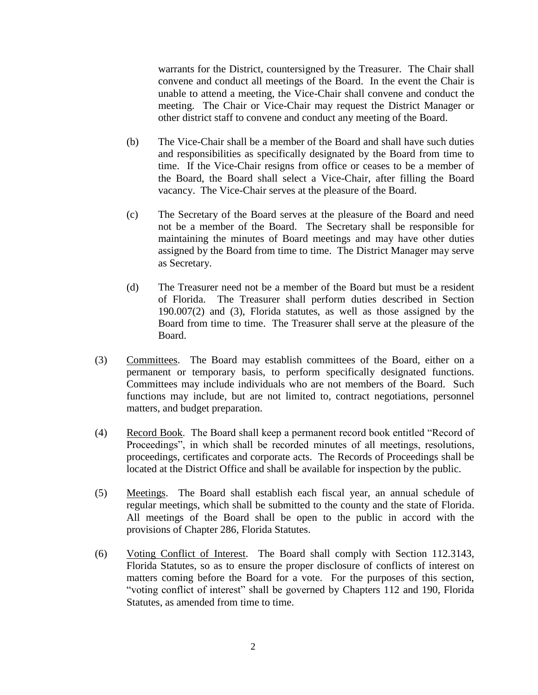warrants for the District, countersigned by the Treasurer. The Chair shall convene and conduct all meetings of the Board. In the event the Chair is unable to attend a meeting, the Vice-Chair shall convene and conduct the meeting. The Chair or Vice-Chair may request the District Manager or other district staff to convene and conduct any meeting of the Board.

- (b) The Vice-Chair shall be a member of the Board and shall have such duties and responsibilities as specifically designated by the Board from time to time. If the Vice-Chair resigns from office or ceases to be a member of the Board, the Board shall select a Vice-Chair, after filling the Board vacancy. The Vice-Chair serves at the pleasure of the Board.
- (c) The Secretary of the Board serves at the pleasure of the Board and need not be a member of the Board. The Secretary shall be responsible for maintaining the minutes of Board meetings and may have other duties assigned by the Board from time to time. The District Manager may serve as Secretary.
- (d) The Treasurer need not be a member of the Board but must be a resident of Florida. The Treasurer shall perform duties described in Section 190.007(2) and (3), Florida statutes, as well as those assigned by the Board from time to time. The Treasurer shall serve at the pleasure of the Board.
- (3) Committees. The Board may establish committees of the Board, either on a permanent or temporary basis, to perform specifically designated functions. Committees may include individuals who are not members of the Board. Such functions may include, but are not limited to, contract negotiations, personnel matters, and budget preparation.
- (4) Record Book. The Board shall keep a permanent record book entitled "Record of Proceedings", in which shall be recorded minutes of all meetings, resolutions, proceedings, certificates and corporate acts. The Records of Proceedings shall be located at the District Office and shall be available for inspection by the public.
- (5) Meetings. The Board shall establish each fiscal year, an annual schedule of regular meetings, which shall be submitted to the county and the state of Florida. All meetings of the Board shall be open to the public in accord with the provisions of Chapter 286, Florida Statutes.
- (6) Voting Conflict of Interest. The Board shall comply with Section 112.3143, Florida Statutes, so as to ensure the proper disclosure of conflicts of interest on matters coming before the Board for a vote. For the purposes of this section, "voting conflict of interest" shall be governed by Chapters 112 and 190, Florida Statutes, as amended from time to time.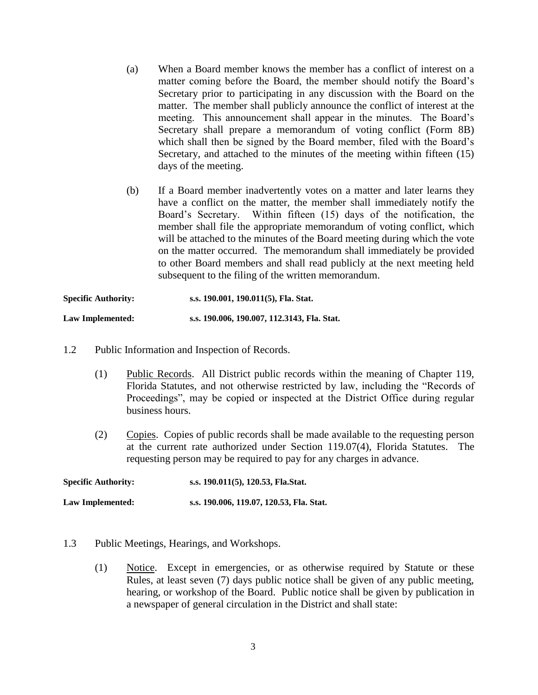- (a) When a Board member knows the member has a conflict of interest on a matter coming before the Board, the member should notify the Board's Secretary prior to participating in any discussion with the Board on the matter. The member shall publicly announce the conflict of interest at the meeting. This announcement shall appear in the minutes. The Board's Secretary shall prepare a memorandum of voting conflict (Form 8B) which shall then be signed by the Board member, filed with the Board's Secretary, and attached to the minutes of the meeting within fifteen (15) days of the meeting.
- (b) If a Board member inadvertently votes on a matter and later learns they have a conflict on the matter, the member shall immediately notify the Board's Secretary. Within fifteen (15) days of the notification, the member shall file the appropriate memorandum of voting conflict, which will be attached to the minutes of the Board meeting during which the vote on the matter occurred. The memorandum shall immediately be provided to other Board members and shall read publicly at the next meeting held subsequent to the filing of the written memorandum.

| <b>Specific Authority:</b> | s.s. 190.001, 190.011(5), Fla. Stat.        |
|----------------------------|---------------------------------------------|
| Law Implemented:           | s.s. 190.006, 190.007, 112.3143, Fla. Stat. |

- 1.2 Public Information and Inspection of Records.
	- (1) Public Records. All District public records within the meaning of Chapter 119, Florida Statutes, and not otherwise restricted by law, including the "Records of Proceedings", may be copied or inspected at the District Office during regular business hours.
	- (2) Copies. Copies of public records shall be made available to the requesting person at the current rate authorized under Section 119.07(4), Florida Statutes. The requesting person may be required to pay for any charges in advance.

**Specific Authority: s.s. 190.011(5), 120.53, Fla.Stat. Law Implemented: s.s. 190.006, 119.07, 120.53, Fla. Stat.**

- 1.3 Public Meetings, Hearings, and Workshops.
	- (1) Notice. Except in emergencies, or as otherwise required by Statute or these Rules, at least seven (7) days public notice shall be given of any public meeting, hearing, or workshop of the Board. Public notice shall be given by publication in a newspaper of general circulation in the District and shall state: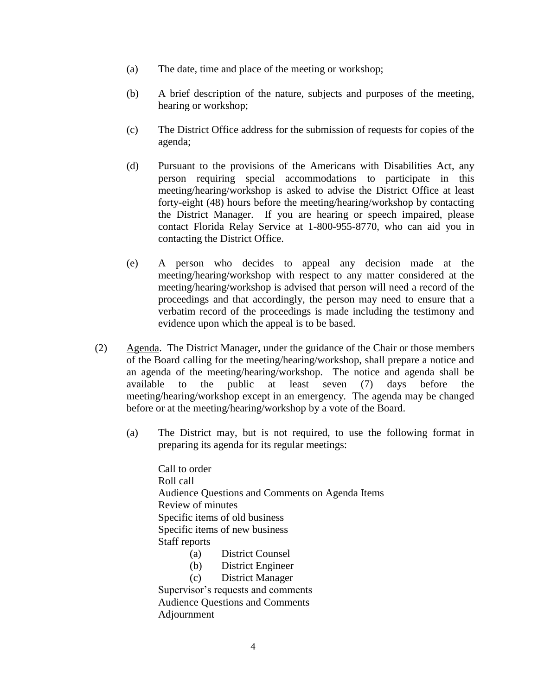- (a) The date, time and place of the meeting or workshop;
- (b) A brief description of the nature, subjects and purposes of the meeting, hearing or workshop;
- (c) The District Office address for the submission of requests for copies of the agenda;
- (d) Pursuant to the provisions of the Americans with Disabilities Act, any person requiring special accommodations to participate in this meeting/hearing/workshop is asked to advise the District Office at least forty-eight (48) hours before the meeting/hearing/workshop by contacting the District Manager. If you are hearing or speech impaired, please contact Florida Relay Service at 1-800-955-8770, who can aid you in contacting the District Office.
- (e) A person who decides to appeal any decision made at the meeting/hearing/workshop with respect to any matter considered at the meeting/hearing/workshop is advised that person will need a record of the proceedings and that accordingly, the person may need to ensure that a verbatim record of the proceedings is made including the testimony and evidence upon which the appeal is to be based.
- (2) Agenda. The District Manager, under the guidance of the Chair or those members of the Board calling for the meeting/hearing/workshop, shall prepare a notice and an agenda of the meeting/hearing/workshop. The notice and agenda shall be available to the public at least seven (7) days before the meeting/hearing/workshop except in an emergency. The agenda may be changed before or at the meeting/hearing/workshop by a vote of the Board.
	- (a) The District may, but is not required, to use the following format in preparing its agenda for its regular meetings:

Call to order Roll call Audience Questions and Comments on Agenda Items Review of minutes Specific items of old business Specific items of new business Staff reports (a) District Counsel

- (b) District Engineer
- (c) District Manager

Supervisor's requests and comments Audience Questions and Comments Adjournment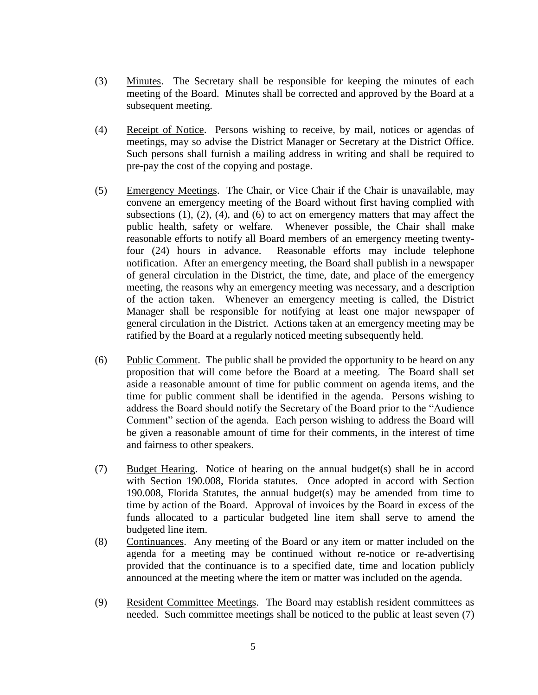- (3) Minutes. The Secretary shall be responsible for keeping the minutes of each meeting of the Board. Minutes shall be corrected and approved by the Board at a subsequent meeting.
- (4) Receipt of Notice. Persons wishing to receive, by mail, notices or agendas of meetings, may so advise the District Manager or Secretary at the District Office. Such persons shall furnish a mailing address in writing and shall be required to pre-pay the cost of the copying and postage.
- (5) Emergency Meetings. The Chair, or Vice Chair if the Chair is unavailable, may convene an emergency meeting of the Board without first having complied with subsections  $(1)$ ,  $(2)$ ,  $(4)$ , and  $(6)$  to act on emergency matters that may affect the public health, safety or welfare. Whenever possible, the Chair shall make reasonable efforts to notify all Board members of an emergency meeting twentyfour (24) hours in advance. Reasonable efforts may include telephone notification. After an emergency meeting, the Board shall publish in a newspaper of general circulation in the District, the time, date, and place of the emergency meeting, the reasons why an emergency meeting was necessary, and a description of the action taken. Whenever an emergency meeting is called, the District Manager shall be responsible for notifying at least one major newspaper of general circulation in the District. Actions taken at an emergency meeting may be ratified by the Board at a regularly noticed meeting subsequently held.
- (6) Public Comment. The public shall be provided the opportunity to be heard on any proposition that will come before the Board at a meeting. The Board shall set aside a reasonable amount of time for public comment on agenda items, and the time for public comment shall be identified in the agenda. Persons wishing to address the Board should notify the Secretary of the Board prior to the "Audience Comment" section of the agenda. Each person wishing to address the Board will be given a reasonable amount of time for their comments, in the interest of time and fairness to other speakers.
- (7) Budget Hearing. Notice of hearing on the annual budget(s) shall be in accord with Section 190.008, Florida statutes. Once adopted in accord with Section 190.008, Florida Statutes, the annual budget(s) may be amended from time to time by action of the Board. Approval of invoices by the Board in excess of the funds allocated to a particular budgeted line item shall serve to amend the budgeted line item.
- (8) Continuances. Any meeting of the Board or any item or matter included on the agenda for a meeting may be continued without re-notice or re-advertising provided that the continuance is to a specified date, time and location publicly announced at the meeting where the item or matter was included on the agenda.
- (9) Resident Committee Meetings. The Board may establish resident committees as needed. Such committee meetings shall be noticed to the public at least seven (7)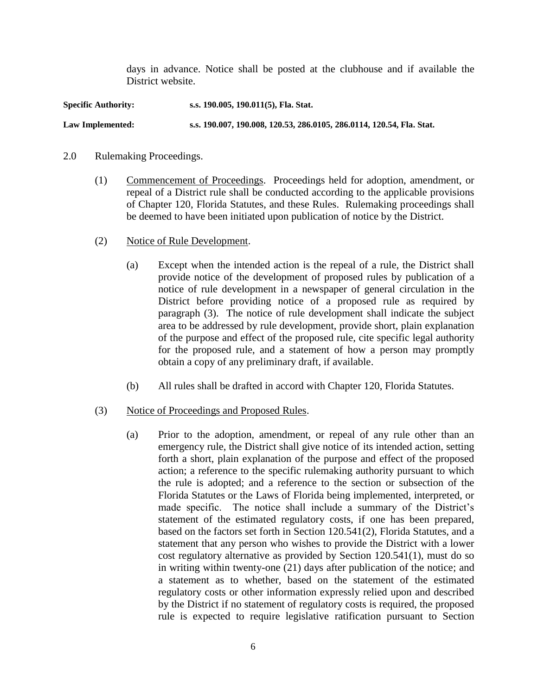days in advance. Notice shall be posted at the clubhouse and if available the District website.

**Specific Authority: s.s. 190.005, 190.011(5), Fla. Stat. Law Implemented: s.s. 190.007, 190.008, 120.53, 286.0105, 286.0114, 120.54, Fla. Stat.**

#### 2.0 Rulemaking Proceedings.

- (1) Commencement of Proceedings. Proceedings held for adoption, amendment, or repeal of a District rule shall be conducted according to the applicable provisions of Chapter 120, Florida Statutes, and these Rules. Rulemaking proceedings shall be deemed to have been initiated upon publication of notice by the District.
- (2) Notice of Rule Development.
	- (a) Except when the intended action is the repeal of a rule, the District shall provide notice of the development of proposed rules by publication of a notice of rule development in a newspaper of general circulation in the District before providing notice of a proposed rule as required by paragraph (3). The notice of rule development shall indicate the subject area to be addressed by rule development, provide short, plain explanation of the purpose and effect of the proposed rule, cite specific legal authority for the proposed rule, and a statement of how a person may promptly obtain a copy of any preliminary draft, if available.
	- (b) All rules shall be drafted in accord with Chapter 120, Florida Statutes.

### (3) Notice of Proceedings and Proposed Rules.

(a) Prior to the adoption, amendment, or repeal of any rule other than an emergency rule, the District shall give notice of its intended action, setting forth a short, plain explanation of the purpose and effect of the proposed action; a reference to the specific rulemaking authority pursuant to which the rule is adopted; and a reference to the section or subsection of the Florida Statutes or the Laws of Florida being implemented, interpreted, or made specific. The notice shall include a summary of the District's statement of the estimated regulatory costs, if one has been prepared, based on the factors set forth in Section 120.541(2), Florida Statutes, and a statement that any person who wishes to provide the District with a lower cost regulatory alternative as provided by Section 120.541(1), must do so in writing within twenty-one (21) days after publication of the notice; and a statement as to whether, based on the statement of the estimated regulatory costs or other information expressly relied upon and described by the District if no statement of regulatory costs is required, the proposed rule is expected to require legislative ratification pursuant to Section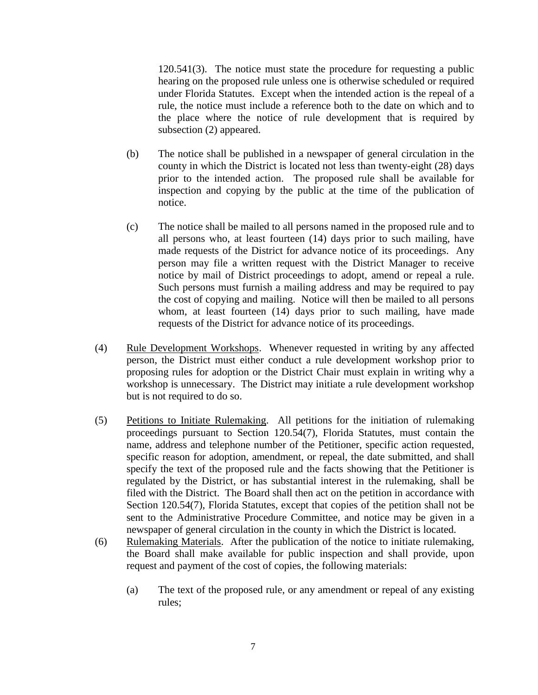120.541(3). The notice must state the procedure for requesting a public hearing on the proposed rule unless one is otherwise scheduled or required under Florida Statutes. Except when the intended action is the repeal of a rule, the notice must include a reference both to the date on which and to the place where the notice of rule development that is required by subsection (2) appeared.

- (b) The notice shall be published in a newspaper of general circulation in the county in which the District is located not less than twenty-eight (28) days prior to the intended action. The proposed rule shall be available for inspection and copying by the public at the time of the publication of notice.
- (c) The notice shall be mailed to all persons named in the proposed rule and to all persons who, at least fourteen (14) days prior to such mailing, have made requests of the District for advance notice of its proceedings. Any person may file a written request with the District Manager to receive notice by mail of District proceedings to adopt, amend or repeal a rule. Such persons must furnish a mailing address and may be required to pay the cost of copying and mailing. Notice will then be mailed to all persons whom, at least fourteen (14) days prior to such mailing, have made requests of the District for advance notice of its proceedings.
- (4) Rule Development Workshops. Whenever requested in writing by any affected person, the District must either conduct a rule development workshop prior to proposing rules for adoption or the District Chair must explain in writing why a workshop is unnecessary. The District may initiate a rule development workshop but is not required to do so.
- (5) Petitions to Initiate Rulemaking. All petitions for the initiation of rulemaking proceedings pursuant to Section 120.54(7), Florida Statutes, must contain the name, address and telephone number of the Petitioner, specific action requested, specific reason for adoption, amendment, or repeal, the date submitted, and shall specify the text of the proposed rule and the facts showing that the Petitioner is regulated by the District, or has substantial interest in the rulemaking, shall be filed with the District. The Board shall then act on the petition in accordance with Section 120.54(7), Florida Statutes, except that copies of the petition shall not be sent to the Administrative Procedure Committee, and notice may be given in a newspaper of general circulation in the county in which the District is located.
- (6) Rulemaking Materials. After the publication of the notice to initiate rulemaking, the Board shall make available for public inspection and shall provide, upon request and payment of the cost of copies, the following materials:
	- (a) The text of the proposed rule, or any amendment or repeal of any existing rules;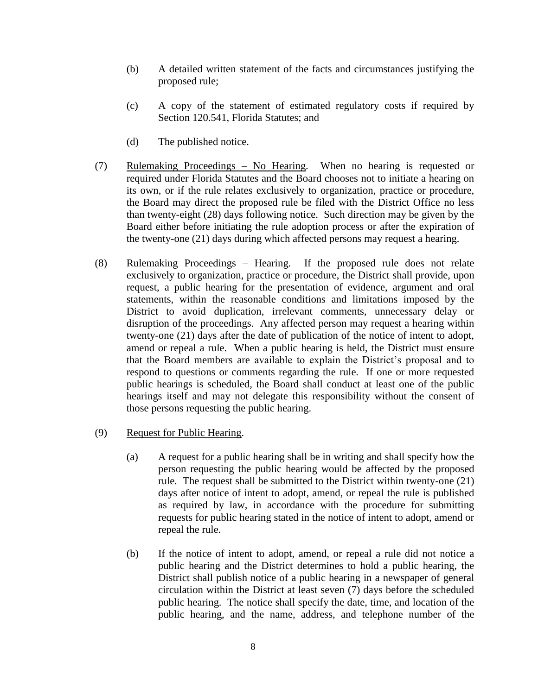- (b) A detailed written statement of the facts and circumstances justifying the proposed rule;
- (c) A copy of the statement of estimated regulatory costs if required by Section 120.541, Florida Statutes; and
- (d) The published notice.
- (7) Rulemaking Proceedings No Hearing. When no hearing is requested or required under Florida Statutes and the Board chooses not to initiate a hearing on its own, or if the rule relates exclusively to organization, practice or procedure, the Board may direct the proposed rule be filed with the District Office no less than twenty-eight (28) days following notice. Such direction may be given by the Board either before initiating the rule adoption process or after the expiration of the twenty-one (21) days during which affected persons may request a hearing.
- (8) Rulemaking Proceedings Hearing. If the proposed rule does not relate exclusively to organization, practice or procedure, the District shall provide, upon request, a public hearing for the presentation of evidence, argument and oral statements, within the reasonable conditions and limitations imposed by the District to avoid duplication, irrelevant comments, unnecessary delay or disruption of the proceedings. Any affected person may request a hearing within twenty-one (21) days after the date of publication of the notice of intent to adopt, amend or repeal a rule. When a public hearing is held, the District must ensure that the Board members are available to explain the District's proposal and to respond to questions or comments regarding the rule. If one or more requested public hearings is scheduled, the Board shall conduct at least one of the public hearings itself and may not delegate this responsibility without the consent of those persons requesting the public hearing.
- (9) Request for Public Hearing.
	- (a) A request for a public hearing shall be in writing and shall specify how the person requesting the public hearing would be affected by the proposed rule. The request shall be submitted to the District within twenty-one (21) days after notice of intent to adopt, amend, or repeal the rule is published as required by law, in accordance with the procedure for submitting requests for public hearing stated in the notice of intent to adopt, amend or repeal the rule.
	- (b) If the notice of intent to adopt, amend, or repeal a rule did not notice a public hearing and the District determines to hold a public hearing, the District shall publish notice of a public hearing in a newspaper of general circulation within the District at least seven (7) days before the scheduled public hearing. The notice shall specify the date, time, and location of the public hearing, and the name, address, and telephone number of the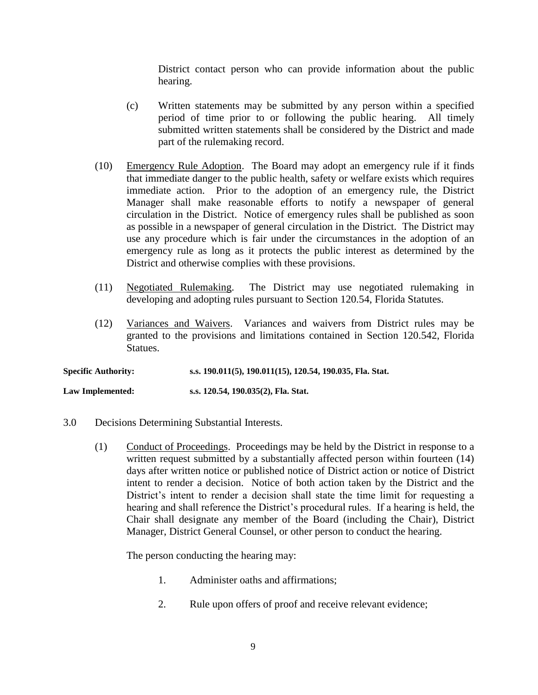District contact person who can provide information about the public hearing.

- (c) Written statements may be submitted by any person within a specified period of time prior to or following the public hearing. All timely submitted written statements shall be considered by the District and made part of the rulemaking record.
- (10) Emergency Rule Adoption. The Board may adopt an emergency rule if it finds that immediate danger to the public health, safety or welfare exists which requires immediate action. Prior to the adoption of an emergency rule, the District Manager shall make reasonable efforts to notify a newspaper of general circulation in the District. Notice of emergency rules shall be published as soon as possible in a newspaper of general circulation in the District. The District may use any procedure which is fair under the circumstances in the adoption of an emergency rule as long as it protects the public interest as determined by the District and otherwise complies with these provisions.
- (11) Negotiated Rulemaking. The District may use negotiated rulemaking in developing and adopting rules pursuant to Section 120.54, Florida Statutes.
- (12) Variances and Waivers. Variances and waivers from District rules may be granted to the provisions and limitations contained in Section 120.542, Florida Statues.

**Specific Authority: s.s. 190.011(5), 190.011(15), 120.54, 190.035, Fla. Stat.**

**Law Implemented: s.s. 120.54, 190.035(2), Fla. Stat.**

- 3.0 Decisions Determining Substantial Interests.
	- (1) Conduct of Proceedings. Proceedings may be held by the District in response to a written request submitted by a substantially affected person within fourteen (14) days after written notice or published notice of District action or notice of District intent to render a decision. Notice of both action taken by the District and the District's intent to render a decision shall state the time limit for requesting a hearing and shall reference the District's procedural rules. If a hearing is held, the Chair shall designate any member of the Board (including the Chair), District Manager, District General Counsel, or other person to conduct the hearing.

The person conducting the hearing may:

- 1. Administer oaths and affirmations;
- 2. Rule upon offers of proof and receive relevant evidence;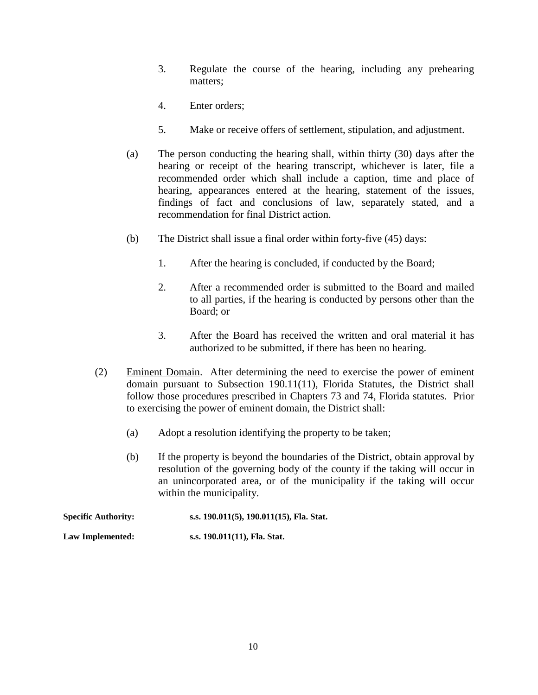- 3. Regulate the course of the hearing, including any prehearing matters;
- 4. Enter orders;
- 5. Make or receive offers of settlement, stipulation, and adjustment.
- (a) The person conducting the hearing shall, within thirty (30) days after the hearing or receipt of the hearing transcript, whichever is later, file a recommended order which shall include a caption, time and place of hearing, appearances entered at the hearing, statement of the issues, findings of fact and conclusions of law, separately stated, and a recommendation for final District action.
- (b) The District shall issue a final order within forty-five (45) days:
	- 1. After the hearing is concluded, if conducted by the Board;
	- 2. After a recommended order is submitted to the Board and mailed to all parties, if the hearing is conducted by persons other than the Board; or
	- 3. After the Board has received the written and oral material it has authorized to be submitted, if there has been no hearing.
- (2) Eminent Domain. After determining the need to exercise the power of eminent domain pursuant to Subsection 190.11(11), Florida Statutes, the District shall follow those procedures prescribed in Chapters 73 and 74, Florida statutes. Prior to exercising the power of eminent domain, the District shall:
	- (a) Adopt a resolution identifying the property to be taken;
	- (b) If the property is beyond the boundaries of the District, obtain approval by resolution of the governing body of the county if the taking will occur in an unincorporated area, or of the municipality if the taking will occur within the municipality.

| <b>Specific Authority:</b> | s.s. 190.011(5), 190.011(15), Fla. Stat. |
|----------------------------|------------------------------------------|
| Law Implemented:           | s.s. 190.011(11), Fla. Stat.             |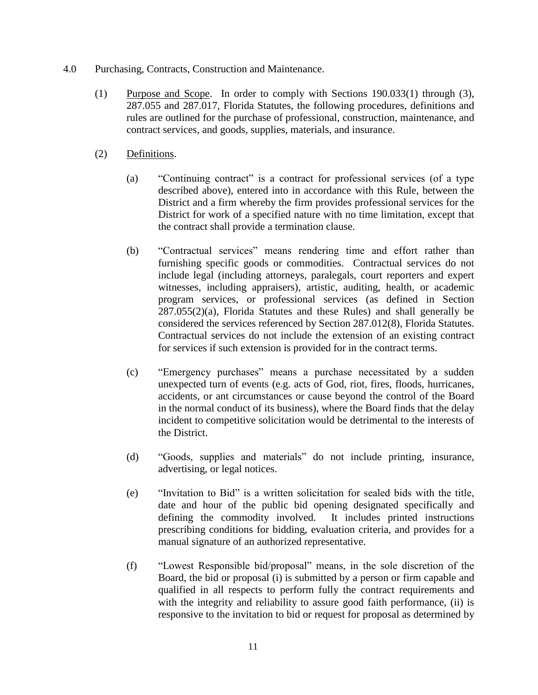- 4.0 Purchasing, Contracts, Construction and Maintenance.
	- (1) Purpose and Scope. In order to comply with Sections 190.033(1) through (3), 287.055 and 287.017, Florida Statutes, the following procedures, definitions and rules are outlined for the purchase of professional, construction, maintenance, and contract services, and goods, supplies, materials, and insurance.
	- (2) Definitions.
		- (a) "Continuing contract" is a contract for professional services (of a type described above), entered into in accordance with this Rule, between the District and a firm whereby the firm provides professional services for the District for work of a specified nature with no time limitation, except that the contract shall provide a termination clause.
		- (b) "Contractual services" means rendering time and effort rather than furnishing specific goods or commodities. Contractual services do not include legal (including attorneys, paralegals, court reporters and expert witnesses, including appraisers), artistic, auditing, health, or academic program services, or professional services (as defined in Section 287.055(2)(a), Florida Statutes and these Rules) and shall generally be considered the services referenced by Section 287.012(8), Florida Statutes. Contractual services do not include the extension of an existing contract for services if such extension is provided for in the contract terms.
		- (c) "Emergency purchases" means a purchase necessitated by a sudden unexpected turn of events (e.g. acts of God, riot, fires, floods, hurricanes, accidents, or ant circumstances or cause beyond the control of the Board in the normal conduct of its business), where the Board finds that the delay incident to competitive solicitation would be detrimental to the interests of the District.
		- (d) "Goods, supplies and materials" do not include printing, insurance, advertising, or legal notices.
		- (e) "Invitation to Bid" is a written solicitation for sealed bids with the title, date and hour of the public bid opening designated specifically and defining the commodity involved. It includes printed instructions prescribing conditions for bidding, evaluation criteria, and provides for a manual signature of an authorized representative.
		- (f) "Lowest Responsible bid/proposal" means, in the sole discretion of the Board, the bid or proposal (i) is submitted by a person or firm capable and qualified in all respects to perform fully the contract requirements and with the integrity and reliability to assure good faith performance, (ii) is responsive to the invitation to bid or request for proposal as determined by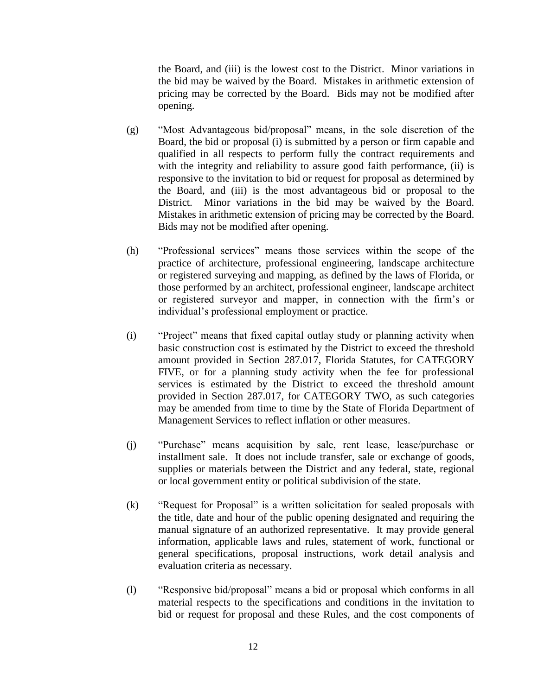the Board, and (iii) is the lowest cost to the District. Minor variations in the bid may be waived by the Board. Mistakes in arithmetic extension of pricing may be corrected by the Board. Bids may not be modified after opening.

- (g) "Most Advantageous bid/proposal" means, in the sole discretion of the Board, the bid or proposal (i) is submitted by a person or firm capable and qualified in all respects to perform fully the contract requirements and with the integrity and reliability to assure good faith performance, (ii) is responsive to the invitation to bid or request for proposal as determined by the Board, and (iii) is the most advantageous bid or proposal to the District. Minor variations in the bid may be waived by the Board. Mistakes in arithmetic extension of pricing may be corrected by the Board. Bids may not be modified after opening.
- (h) "Professional services" means those services within the scope of the practice of architecture, professional engineering, landscape architecture or registered surveying and mapping, as defined by the laws of Florida, or those performed by an architect, professional engineer, landscape architect or registered surveyor and mapper, in connection with the firm's or individual's professional employment or practice.
- (i) "Project" means that fixed capital outlay study or planning activity when basic construction cost is estimated by the District to exceed the threshold amount provided in Section 287.017, Florida Statutes, for CATEGORY FIVE, or for a planning study activity when the fee for professional services is estimated by the District to exceed the threshold amount provided in Section 287.017, for CATEGORY TWO, as such categories may be amended from time to time by the State of Florida Department of Management Services to reflect inflation or other measures.
- (j) "Purchase" means acquisition by sale, rent lease, lease/purchase or installment sale. It does not include transfer, sale or exchange of goods, supplies or materials between the District and any federal, state, regional or local government entity or political subdivision of the state.
- (k) "Request for Proposal" is a written solicitation for sealed proposals with the title, date and hour of the public opening designated and requiring the manual signature of an authorized representative. It may provide general information, applicable laws and rules, statement of work, functional or general specifications, proposal instructions, work detail analysis and evaluation criteria as necessary.
- (l) "Responsive bid/proposal" means a bid or proposal which conforms in all material respects to the specifications and conditions in the invitation to bid or request for proposal and these Rules, and the cost components of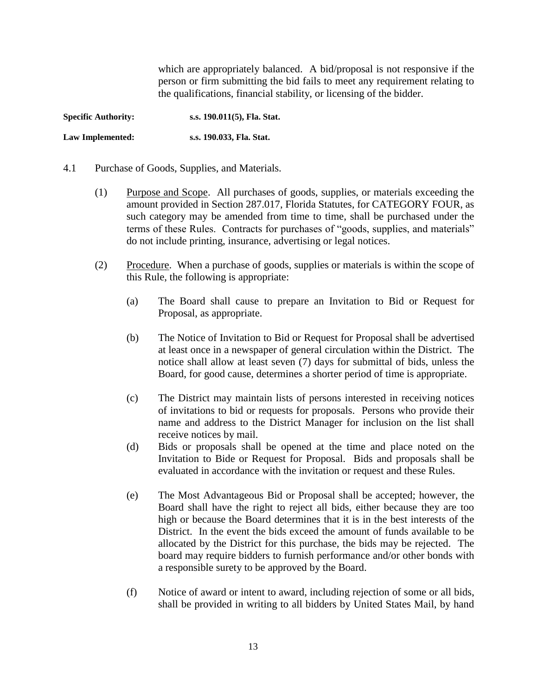which are appropriately balanced. A bid/proposal is not responsive if the person or firm submitting the bid fails to meet any requirement relating to the qualifications, financial stability, or licensing of the bidder.

**Specific Authority: s.s. 190.011(5), Fla. Stat. Law Implemented: s.s. 190.033, Fla. Stat.**

- 4.1 Purchase of Goods, Supplies, and Materials.
	- (1) Purpose and Scope. All purchases of goods, supplies, or materials exceeding the amount provided in Section 287.017, Florida Statutes, for CATEGORY FOUR, as such category may be amended from time to time, shall be purchased under the terms of these Rules. Contracts for purchases of "goods, supplies, and materials" do not include printing, insurance, advertising or legal notices.
	- (2) Procedure. When a purchase of goods, supplies or materials is within the scope of this Rule, the following is appropriate:
		- (a) The Board shall cause to prepare an Invitation to Bid or Request for Proposal, as appropriate.
		- (b) The Notice of Invitation to Bid or Request for Proposal shall be advertised at least once in a newspaper of general circulation within the District. The notice shall allow at least seven (7) days for submittal of bids, unless the Board, for good cause, determines a shorter period of time is appropriate.
		- (c) The District may maintain lists of persons interested in receiving notices of invitations to bid or requests for proposals. Persons who provide their name and address to the District Manager for inclusion on the list shall receive notices by mail.
		- (d) Bids or proposals shall be opened at the time and place noted on the Invitation to Bide or Request for Proposal. Bids and proposals shall be evaluated in accordance with the invitation or request and these Rules.
		- (e) The Most Advantageous Bid or Proposal shall be accepted; however, the Board shall have the right to reject all bids, either because they are too high or because the Board determines that it is in the best interests of the District. In the event the bids exceed the amount of funds available to be allocated by the District for this purchase, the bids may be rejected. The board may require bidders to furnish performance and/or other bonds with a responsible surety to be approved by the Board.
		- (f) Notice of award or intent to award, including rejection of some or all bids, shall be provided in writing to all bidders by United States Mail, by hand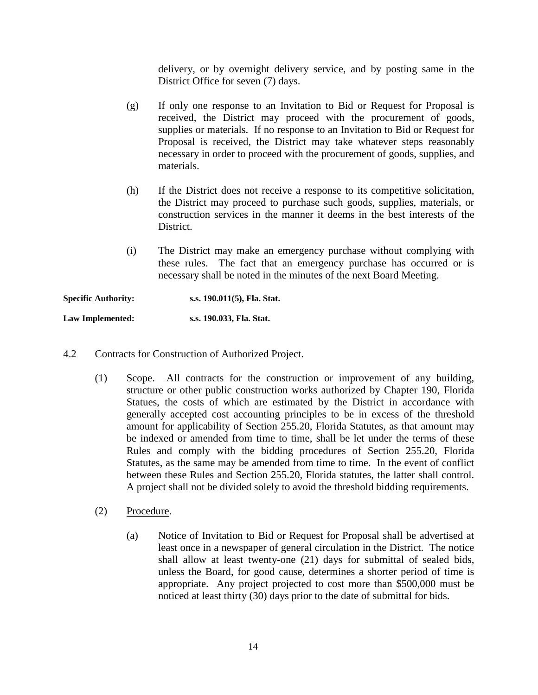delivery, or by overnight delivery service, and by posting same in the District Office for seven (7) days.

- (g) If only one response to an Invitation to Bid or Request for Proposal is received, the District may proceed with the procurement of goods, supplies or materials. If no response to an Invitation to Bid or Request for Proposal is received, the District may take whatever steps reasonably necessary in order to proceed with the procurement of goods, supplies, and materials.
- (h) If the District does not receive a response to its competitive solicitation, the District may proceed to purchase such goods, supplies, materials, or construction services in the manner it deems in the best interests of the District.
- (i) The District may make an emergency purchase without complying with these rules. The fact that an emergency purchase has occurred or is necessary shall be noted in the minutes of the next Board Meeting.

**Specific Authority: s.s. 190.011(5), Fla. Stat. Law Implemented: s.s. 190.033, Fla. Stat.**

- 4.2 Contracts for Construction of Authorized Project.
	- (1) Scope. All contracts for the construction or improvement of any building, structure or other public construction works authorized by Chapter 190, Florida Statues, the costs of which are estimated by the District in accordance with generally accepted cost accounting principles to be in excess of the threshold amount for applicability of Section 255.20, Florida Statutes, as that amount may be indexed or amended from time to time, shall be let under the terms of these Rules and comply with the bidding procedures of Section 255.20, Florida Statutes, as the same may be amended from time to time. In the event of conflict between these Rules and Section 255.20, Florida statutes, the latter shall control. A project shall not be divided solely to avoid the threshold bidding requirements.
	- (2) Procedure.
		- (a) Notice of Invitation to Bid or Request for Proposal shall be advertised at least once in a newspaper of general circulation in the District. The notice shall allow at least twenty-one (21) days for submittal of sealed bids, unless the Board, for good cause, determines a shorter period of time is appropriate. Any project projected to cost more than \$500,000 must be noticed at least thirty (30) days prior to the date of submittal for bids.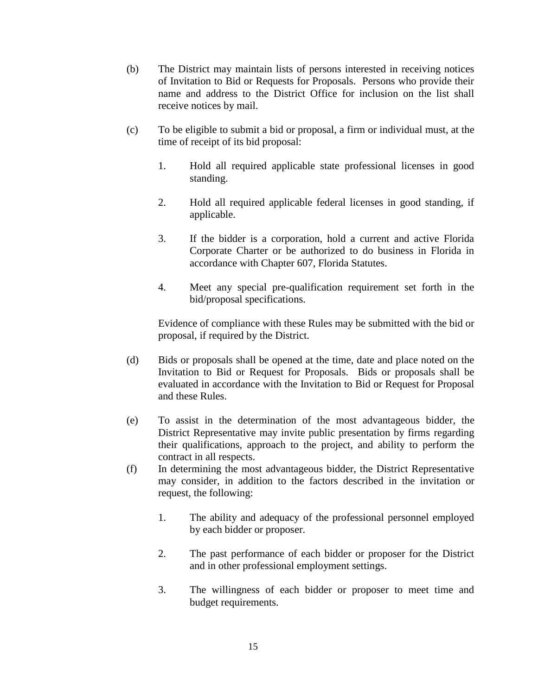- (b) The District may maintain lists of persons interested in receiving notices of Invitation to Bid or Requests for Proposals. Persons who provide their name and address to the District Office for inclusion on the list shall receive notices by mail.
- (c) To be eligible to submit a bid or proposal, a firm or individual must, at the time of receipt of its bid proposal:
	- 1. Hold all required applicable state professional licenses in good standing.
	- 2. Hold all required applicable federal licenses in good standing, if applicable.
	- 3. If the bidder is a corporation, hold a current and active Florida Corporate Charter or be authorized to do business in Florida in accordance with Chapter 607, Florida Statutes.
	- 4. Meet any special pre-qualification requirement set forth in the bid/proposal specifications.

Evidence of compliance with these Rules may be submitted with the bid or proposal, if required by the District.

- (d) Bids or proposals shall be opened at the time, date and place noted on the Invitation to Bid or Request for Proposals. Bids or proposals shall be evaluated in accordance with the Invitation to Bid or Request for Proposal and these Rules.
- (e) To assist in the determination of the most advantageous bidder, the District Representative may invite public presentation by firms regarding their qualifications, approach to the project, and ability to perform the contract in all respects.
- (f) In determining the most advantageous bidder, the District Representative may consider, in addition to the factors described in the invitation or request, the following:
	- 1. The ability and adequacy of the professional personnel employed by each bidder or proposer.
	- 2. The past performance of each bidder or proposer for the District and in other professional employment settings.
	- 3. The willingness of each bidder or proposer to meet time and budget requirements.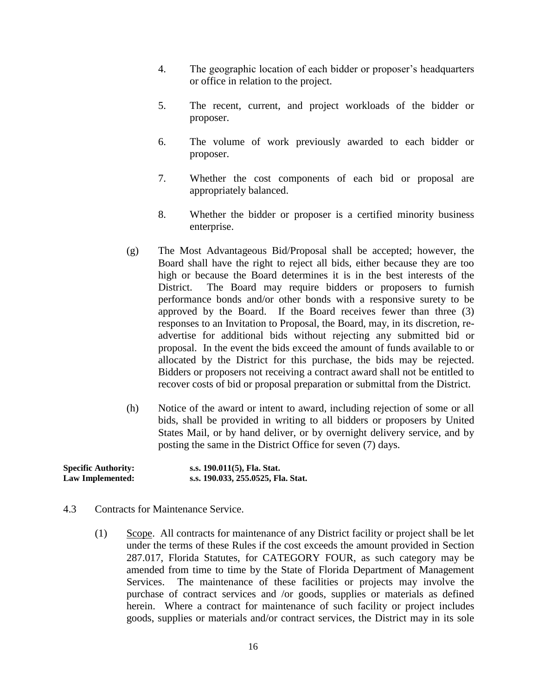- 4. The geographic location of each bidder or proposer's headquarters or office in relation to the project.
- 5. The recent, current, and project workloads of the bidder or proposer.
- 6. The volume of work previously awarded to each bidder or proposer.
- 7. Whether the cost components of each bid or proposal are appropriately balanced.
- 8. Whether the bidder or proposer is a certified minority business enterprise.
- (g) The Most Advantageous Bid/Proposal shall be accepted; however, the Board shall have the right to reject all bids, either because they are too high or because the Board determines it is in the best interests of the District. The Board may require bidders or proposers to furnish performance bonds and/or other bonds with a responsive surety to be approved by the Board. If the Board receives fewer than three (3) responses to an Invitation to Proposal, the Board, may, in its discretion, readvertise for additional bids without rejecting any submitted bid or proposal. In the event the bids exceed the amount of funds available to or allocated by the District for this purchase, the bids may be rejected. Bidders or proposers not receiving a contract award shall not be entitled to recover costs of bid or proposal preparation or submittal from the District.
- (h) Notice of the award or intent to award, including rejection of some or all bids, shall be provided in writing to all bidders or proposers by United States Mail, or by hand deliver, or by overnight delivery service, and by posting the same in the District Office for seven (7) days.

| <b>Specific Authority:</b> | s.s. 190.011(5), Fla. Stat.        |
|----------------------------|------------------------------------|
| Law Implemented:           | s.s. 190.033, 255.0525, Fla. Stat. |

- 4.3 Contracts for Maintenance Service.
	- (1) Scope. All contracts for maintenance of any District facility or project shall be let under the terms of these Rules if the cost exceeds the amount provided in Section 287.017, Florida Statutes, for CATEGORY FOUR, as such category may be amended from time to time by the State of Florida Department of Management Services. The maintenance of these facilities or projects may involve the purchase of contract services and /or goods, supplies or materials as defined herein. Where a contract for maintenance of such facility or project includes goods, supplies or materials and/or contract services, the District may in its sole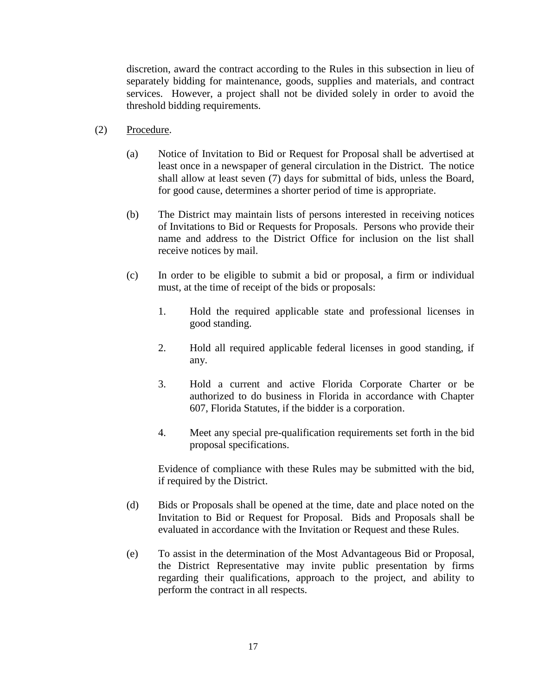discretion, award the contract according to the Rules in this subsection in lieu of separately bidding for maintenance, goods, supplies and materials, and contract services. However, a project shall not be divided solely in order to avoid the threshold bidding requirements.

- (2) Procedure.
	- (a) Notice of Invitation to Bid or Request for Proposal shall be advertised at least once in a newspaper of general circulation in the District. The notice shall allow at least seven (7) days for submittal of bids, unless the Board, for good cause, determines a shorter period of time is appropriate.
	- (b) The District may maintain lists of persons interested in receiving notices of Invitations to Bid or Requests for Proposals. Persons who provide their name and address to the District Office for inclusion on the list shall receive notices by mail.
	- (c) In order to be eligible to submit a bid or proposal, a firm or individual must, at the time of receipt of the bids or proposals:
		- 1. Hold the required applicable state and professional licenses in good standing.
		- 2. Hold all required applicable federal licenses in good standing, if any.
		- 3. Hold a current and active Florida Corporate Charter or be authorized to do business in Florida in accordance with Chapter 607, Florida Statutes, if the bidder is a corporation.
		- 4. Meet any special pre-qualification requirements set forth in the bid proposal specifications.

Evidence of compliance with these Rules may be submitted with the bid, if required by the District.

- (d) Bids or Proposals shall be opened at the time, date and place noted on the Invitation to Bid or Request for Proposal. Bids and Proposals shall be evaluated in accordance with the Invitation or Request and these Rules.
- (e) To assist in the determination of the Most Advantageous Bid or Proposal, the District Representative may invite public presentation by firms regarding their qualifications, approach to the project, and ability to perform the contract in all respects.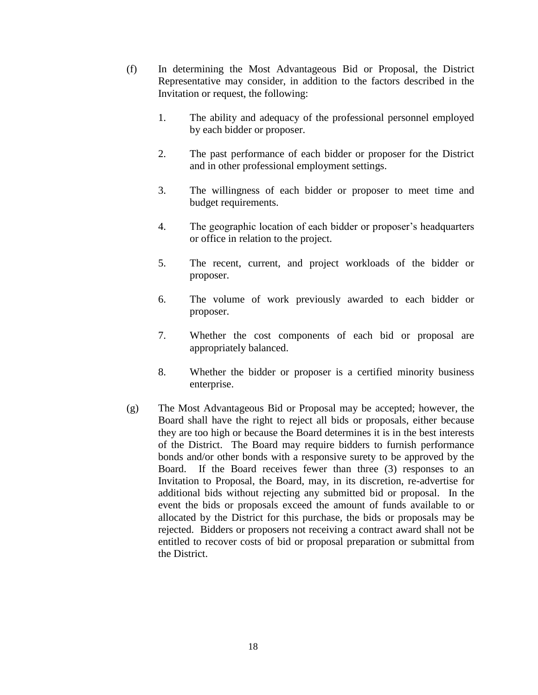- (f) In determining the Most Advantageous Bid or Proposal, the District Representative may consider, in addition to the factors described in the Invitation or request, the following:
	- 1. The ability and adequacy of the professional personnel employed by each bidder or proposer.
	- 2. The past performance of each bidder or proposer for the District and in other professional employment settings.
	- 3. The willingness of each bidder or proposer to meet time and budget requirements.
	- 4. The geographic location of each bidder or proposer's headquarters or office in relation to the project.
	- 5. The recent, current, and project workloads of the bidder or proposer.
	- 6. The volume of work previously awarded to each bidder or proposer.
	- 7. Whether the cost components of each bid or proposal are appropriately balanced.
	- 8. Whether the bidder or proposer is a certified minority business enterprise.
- (g) The Most Advantageous Bid or Proposal may be accepted; however, the Board shall have the right to reject all bids or proposals, either because they are too high or because the Board determines it is in the best interests of the District. The Board may require bidders to furnish performance bonds and/or other bonds with a responsive surety to be approved by the Board. If the Board receives fewer than three (3) responses to an Invitation to Proposal, the Board, may, in its discretion, re-advertise for additional bids without rejecting any submitted bid or proposal. In the event the bids or proposals exceed the amount of funds available to or allocated by the District for this purchase, the bids or proposals may be rejected. Bidders or proposers not receiving a contract award shall not be entitled to recover costs of bid or proposal preparation or submittal from the District.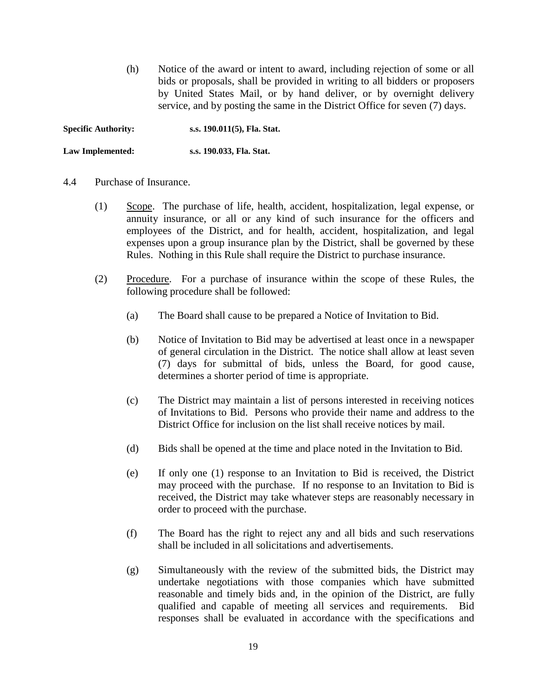(h) Notice of the award or intent to award, including rejection of some or all bids or proposals, shall be provided in writing to all bidders or proposers by United States Mail, or by hand deliver, or by overnight delivery service, and by posting the same in the District Office for seven (7) days.

**Specific Authority: s.s. 190.011(5), Fla. Stat.**

**Law Implemented: s.s. 190.033, Fla. Stat.**

#### 4.4 Purchase of Insurance.

- (1) Scope. The purchase of life, health, accident, hospitalization, legal expense, or annuity insurance, or all or any kind of such insurance for the officers and employees of the District, and for health, accident, hospitalization, and legal expenses upon a group insurance plan by the District, shall be governed by these Rules. Nothing in this Rule shall require the District to purchase insurance.
- (2) Procedure. For a purchase of insurance within the scope of these Rules, the following procedure shall be followed:
	- (a) The Board shall cause to be prepared a Notice of Invitation to Bid.
	- (b) Notice of Invitation to Bid may be advertised at least once in a newspaper of general circulation in the District. The notice shall allow at least seven (7) days for submittal of bids, unless the Board, for good cause, determines a shorter period of time is appropriate.
	- (c) The District may maintain a list of persons interested in receiving notices of Invitations to Bid. Persons who provide their name and address to the District Office for inclusion on the list shall receive notices by mail.
	- (d) Bids shall be opened at the time and place noted in the Invitation to Bid.
	- (e) If only one (1) response to an Invitation to Bid is received, the District may proceed with the purchase. If no response to an Invitation to Bid is received, the District may take whatever steps are reasonably necessary in order to proceed with the purchase.
	- (f) The Board has the right to reject any and all bids and such reservations shall be included in all solicitations and advertisements.
	- (g) Simultaneously with the review of the submitted bids, the District may undertake negotiations with those companies which have submitted reasonable and timely bids and, in the opinion of the District, are fully qualified and capable of meeting all services and requirements. Bid responses shall be evaluated in accordance with the specifications and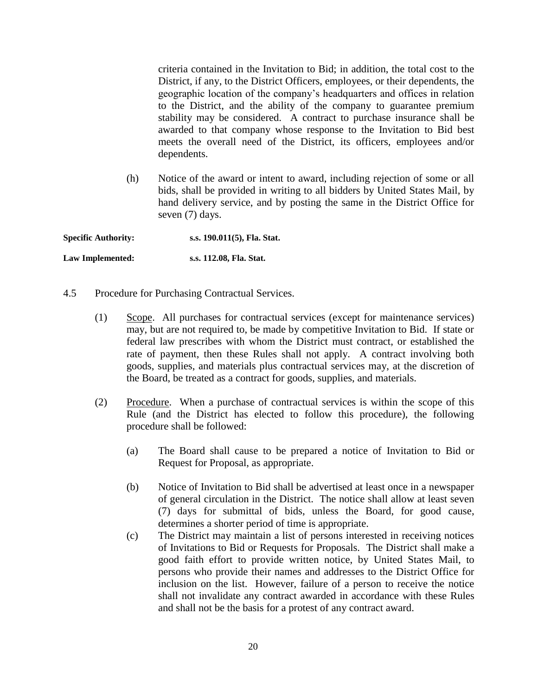criteria contained in the Invitation to Bid; in addition, the total cost to the District, if any, to the District Officers, employees, or their dependents, the geographic location of the company's headquarters and offices in relation to the District, and the ability of the company to guarantee premium stability may be considered. A contract to purchase insurance shall be awarded to that company whose response to the Invitation to Bid best meets the overall need of the District, its officers, employees and/or dependents.

(h) Notice of the award or intent to award, including rejection of some or all bids, shall be provided in writing to all bidders by United States Mail, by hand delivery service, and by posting the same in the District Office for seven (7) days.

**Specific Authority: s.s. 190.011(5), Fla. Stat.**

**Law Implemented: s.s. 112.08, Fla. Stat.**

- 4.5 Procedure for Purchasing Contractual Services.
	- (1) Scope. All purchases for contractual services (except for maintenance services) may, but are not required to, be made by competitive Invitation to Bid. If state or federal law prescribes with whom the District must contract, or established the rate of payment, then these Rules shall not apply. A contract involving both goods, supplies, and materials plus contractual services may, at the discretion of the Board, be treated as a contract for goods, supplies, and materials.
	- (2) Procedure. When a purchase of contractual services is within the scope of this Rule (and the District has elected to follow this procedure), the following procedure shall be followed:
		- (a) The Board shall cause to be prepared a notice of Invitation to Bid or Request for Proposal, as appropriate.
		- (b) Notice of Invitation to Bid shall be advertised at least once in a newspaper of general circulation in the District. The notice shall allow at least seven (7) days for submittal of bids, unless the Board, for good cause, determines a shorter period of time is appropriate.
		- (c) The District may maintain a list of persons interested in receiving notices of Invitations to Bid or Requests for Proposals. The District shall make a good faith effort to provide written notice, by United States Mail, to persons who provide their names and addresses to the District Office for inclusion on the list. However, failure of a person to receive the notice shall not invalidate any contract awarded in accordance with these Rules and shall not be the basis for a protest of any contract award.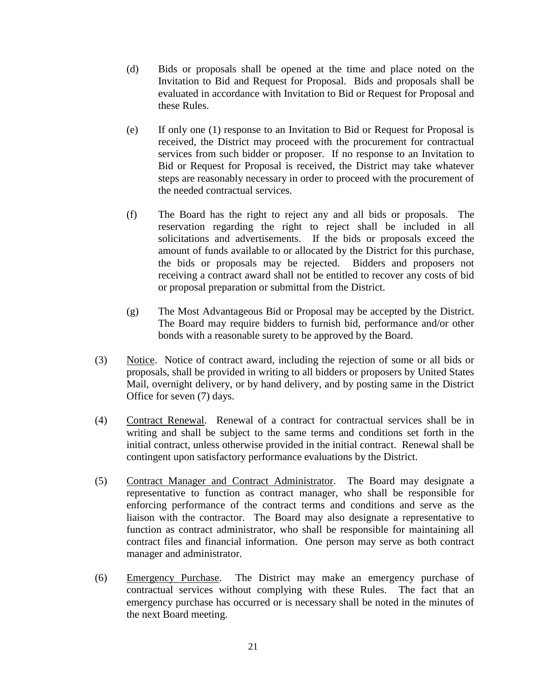- (d) Bids or proposals shall be opened at the time and place noted on the Invitation to Bid and Request for Proposal. Bids and proposals shall be evaluated in accordance with Invitation to Bid or Request for Proposal and these Rules.
- (e) If only one (1) response to an Invitation to Bid or Request for Proposal is received, the District may proceed with the procurement for contractual services from such bidder or proposer. If no response to an Invitation to Bid or Request for Proposal is received, the District may take whatever steps are reasonably necessary in order to proceed with the procurement of the needed contractual services.
- (f) The Board has the right to reject any and all bids or proposals. The reservation regarding the right to reject shall be included in all solicitations and advertisements. If the bids or proposals exceed the amount of funds available to or allocated by the District for this purchase, the bids or proposals may be rejected. Bidders and proposers not receiving a contract award shall not be entitled to recover any costs of bid or proposal preparation or submittal from the District.
- (g) The Most Advantageous Bid or Proposal may be accepted by the District. The Board may require bidders to furnish bid, performance and/or other bonds with a reasonable surety to be approved by the Board.
- (3) Notice. Notice of contract award, including the rejection of some or all bids or proposals, shall be provided in writing to all bidders or proposers by United States Mail, overnight delivery, or by hand delivery, and by posting same in the District Office for seven (7) days.
- (4) Contract Renewal. Renewal of a contract for contractual services shall be in writing and shall be subject to the same terms and conditions set forth in the initial contract, unless otherwise provided in the initial contract. Renewal shall be contingent upon satisfactory performance evaluations by the District.
- (5) Contract Manager and Contract Administrator. The Board may designate a representative to function as contract manager, who shall be responsible for enforcing performance of the contract terms and conditions and serve as the liaison with the contractor. The Board may also designate a representative to function as contract administrator, who shall be responsible for maintaining all contract files and financial information. One person may serve as both contract manager and administrator.
- (6) Emergency Purchase. The District may make an emergency purchase of contractual services without complying with these Rules. The fact that an emergency purchase has occurred or is necessary shall be noted in the minutes of the next Board meeting.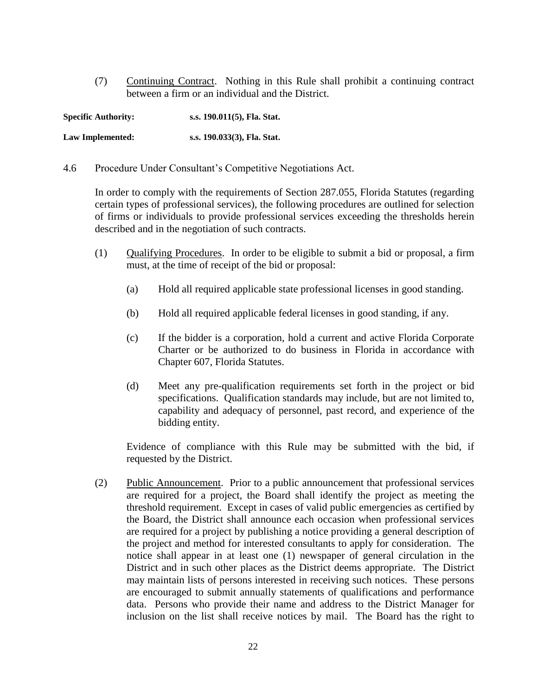(7) Continuing Contract. Nothing in this Rule shall prohibit a continuing contract between a firm or an individual and the District.

| <b>Specific Authority:</b> | s.s. 190.011(5), Fla. Stat. |
|----------------------------|-----------------------------|
| Law Implemented:           | s.s. 190.033(3), Fla. Stat. |

4.6 Procedure Under Consultant's Competitive Negotiations Act.

In order to comply with the requirements of Section 287.055, Florida Statutes (regarding certain types of professional services), the following procedures are outlined for selection of firms or individuals to provide professional services exceeding the thresholds herein described and in the negotiation of such contracts.

- (1) Qualifying Procedures. In order to be eligible to submit a bid or proposal, a firm must, at the time of receipt of the bid or proposal:
	- (a) Hold all required applicable state professional licenses in good standing.
	- (b) Hold all required applicable federal licenses in good standing, if any.
	- (c) If the bidder is a corporation, hold a current and active Florida Corporate Charter or be authorized to do business in Florida in accordance with Chapter 607, Florida Statutes.
	- (d) Meet any pre-qualification requirements set forth in the project or bid specifications. Qualification standards may include, but are not limited to, capability and adequacy of personnel, past record, and experience of the bidding entity.

Evidence of compliance with this Rule may be submitted with the bid, if requested by the District.

(2) Public Announcement. Prior to a public announcement that professional services are required for a project, the Board shall identify the project as meeting the threshold requirement. Except in cases of valid public emergencies as certified by the Board, the District shall announce each occasion when professional services are required for a project by publishing a notice providing a general description of the project and method for interested consultants to apply for consideration. The notice shall appear in at least one (1) newspaper of general circulation in the District and in such other places as the District deems appropriate. The District may maintain lists of persons interested in receiving such notices. These persons are encouraged to submit annually statements of qualifications and performance data. Persons who provide their name and address to the District Manager for inclusion on the list shall receive notices by mail. The Board has the right to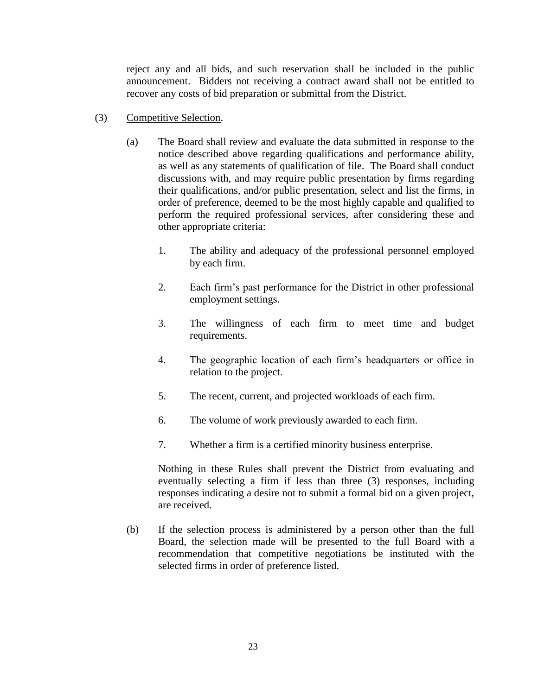reject any and all bids, and such reservation shall be included in the public announcement. Bidders not receiving a contract award shall not be entitled to recover any costs of bid preparation or submittal from the District.

- (3) Competitive Selection.
	- (a) The Board shall review and evaluate the data submitted in response to the notice described above regarding qualifications and performance ability, as well as any statements of qualification of file. The Board shall conduct discussions with, and may require public presentation by firms regarding their qualifications, and/or public presentation, select and list the firms, in order of preference, deemed to be the most highly capable and qualified to perform the required professional services, after considering these and other appropriate criteria:
		- 1. The ability and adequacy of the professional personnel employed by each firm.
		- 2. Each firm's past performance for the District in other professional employment settings.
		- 3. The willingness of each firm to meet time and budget requirements.
		- 4. The geographic location of each firm's headquarters or office in relation to the project.
		- 5. The recent, current, and projected workloads of each firm.
		- 6. The volume of work previously awarded to each firm.
		- 7. Whether a firm is a certified minority business enterprise.

Nothing in these Rules shall prevent the District from evaluating and eventually selecting a firm if less than three (3) responses, including responses indicating a desire not to submit a formal bid on a given project, are received.

(b) If the selection process is administered by a person other than the full Board, the selection made will be presented to the full Board with a recommendation that competitive negotiations be instituted with the selected firms in order of preference listed.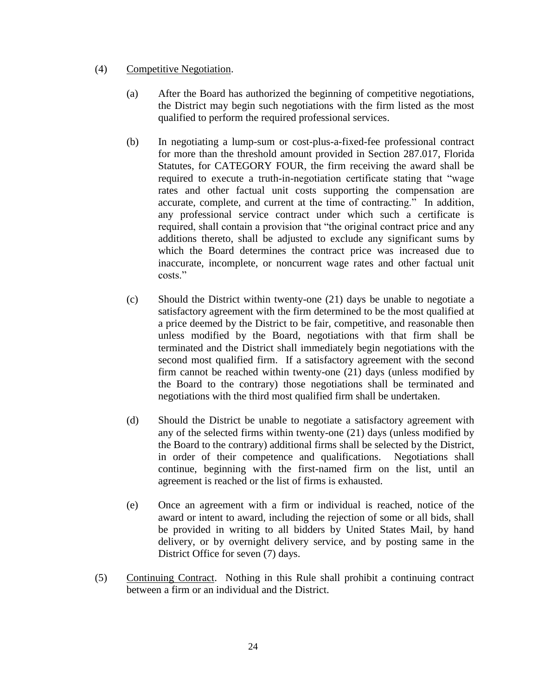### (4) Competitive Negotiation.

- (a) After the Board has authorized the beginning of competitive negotiations, the District may begin such negotiations with the firm listed as the most qualified to perform the required professional services.
- (b) In negotiating a lump-sum or cost-plus-a-fixed-fee professional contract for more than the threshold amount provided in Section 287.017, Florida Statutes, for CATEGORY FOUR, the firm receiving the award shall be required to execute a truth-in-negotiation certificate stating that "wage rates and other factual unit costs supporting the compensation are accurate, complete, and current at the time of contracting." In addition, any professional service contract under which such a certificate is required, shall contain a provision that "the original contract price and any additions thereto, shall be adjusted to exclude any significant sums by which the Board determines the contract price was increased due to inaccurate, incomplete, or noncurrent wage rates and other factual unit costs."
- (c) Should the District within twenty-one (21) days be unable to negotiate a satisfactory agreement with the firm determined to be the most qualified at a price deemed by the District to be fair, competitive, and reasonable then unless modified by the Board, negotiations with that firm shall be terminated and the District shall immediately begin negotiations with the second most qualified firm. If a satisfactory agreement with the second firm cannot be reached within twenty-one (21) days (unless modified by the Board to the contrary) those negotiations shall be terminated and negotiations with the third most qualified firm shall be undertaken.
- (d) Should the District be unable to negotiate a satisfactory agreement with any of the selected firms within twenty-one (21) days (unless modified by the Board to the contrary) additional firms shall be selected by the District, in order of their competence and qualifications. Negotiations shall continue, beginning with the first-named firm on the list, until an agreement is reached or the list of firms is exhausted.
- (e) Once an agreement with a firm or individual is reached, notice of the award or intent to award, including the rejection of some or all bids, shall be provided in writing to all bidders by United States Mail, by hand delivery, or by overnight delivery service, and by posting same in the District Office for seven (7) days.
- (5) Continuing Contract. Nothing in this Rule shall prohibit a continuing contract between a firm or an individual and the District.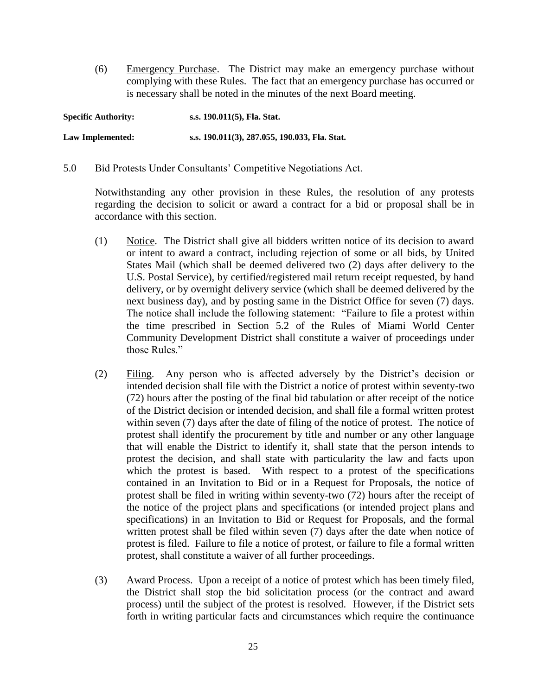(6) Emergency Purchase. The District may make an emergency purchase without complying with these Rules. The fact that an emergency purchase has occurred or is necessary shall be noted in the minutes of the next Board meeting.

| <b>Specific Authority:</b> | s.s. 190.011(5), Fla. Stat.                   |
|----------------------------|-----------------------------------------------|
| Law Implemented:           | s.s. 190.011(3), 287.055, 190.033, Fla. Stat. |

5.0 Bid Protests Under Consultants' Competitive Negotiations Act.

Notwithstanding any other provision in these Rules, the resolution of any protests regarding the decision to solicit or award a contract for a bid or proposal shall be in accordance with this section.

- (1) Notice. The District shall give all bidders written notice of its decision to award or intent to award a contract, including rejection of some or all bids, by United States Mail (which shall be deemed delivered two (2) days after delivery to the U.S. Postal Service), by certified/registered mail return receipt requested, by hand delivery, or by overnight delivery service (which shall be deemed delivered by the next business day), and by posting same in the District Office for seven (7) days. The notice shall include the following statement: "Failure to file a protest within the time prescribed in Section 5.2 of the Rules of Miami World Center Community Development District shall constitute a waiver of proceedings under those Rules."
- (2) Filing. Any person who is affected adversely by the District's decision or intended decision shall file with the District a notice of protest within seventy-two (72) hours after the posting of the final bid tabulation or after receipt of the notice of the District decision or intended decision, and shall file a formal written protest within seven (7) days after the date of filing of the notice of protest. The notice of protest shall identify the procurement by title and number or any other language that will enable the District to identify it, shall state that the person intends to protest the decision, and shall state with particularity the law and facts upon which the protest is based. With respect to a protest of the specifications contained in an Invitation to Bid or in a Request for Proposals, the notice of protest shall be filed in writing within seventy-two (72) hours after the receipt of the notice of the project plans and specifications (or intended project plans and specifications) in an Invitation to Bid or Request for Proposals, and the formal written protest shall be filed within seven (7) days after the date when notice of protest is filed. Failure to file a notice of protest, or failure to file a formal written protest, shall constitute a waiver of all further proceedings.
- (3) Award Process. Upon a receipt of a notice of protest which has been timely filed, the District shall stop the bid solicitation process (or the contract and award process) until the subject of the protest is resolved. However, if the District sets forth in writing particular facts and circumstances which require the continuance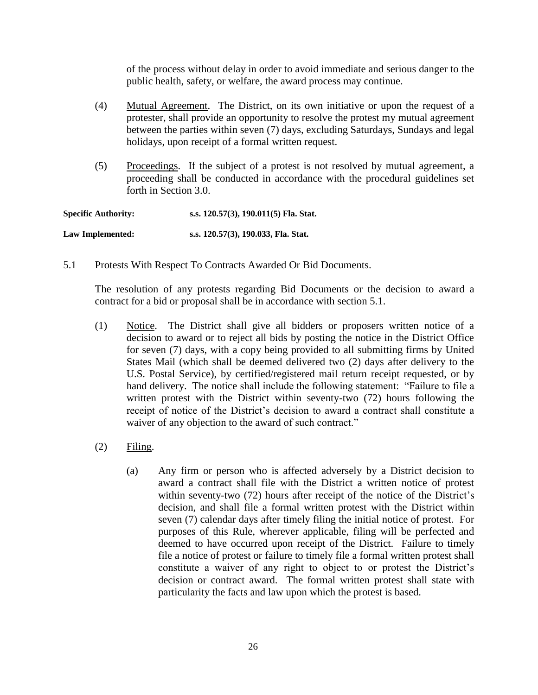of the process without delay in order to avoid immediate and serious danger to the public health, safety, or welfare, the award process may continue.

- (4) Mutual Agreement. The District, on its own initiative or upon the request of a protester, shall provide an opportunity to resolve the protest my mutual agreement between the parties within seven (7) days, excluding Saturdays, Sundays and legal holidays, upon receipt of a formal written request.
- (5) Proceedings. If the subject of a protest is not resolved by mutual agreement, a proceeding shall be conducted in accordance with the procedural guidelines set forth in Section 3.0.

| <b>Specific Authority:</b> | s.s. 120.57(3), 190.011(5) Fla. Stat. |
|----------------------------|---------------------------------------|
| Law Implemented:           | s.s. 120.57(3), 190.033, Fla. Stat.   |

5.1 Protests With Respect To Contracts Awarded Or Bid Documents.

The resolution of any protests regarding Bid Documents or the decision to award a contract for a bid or proposal shall be in accordance with section 5.1.

- (1) Notice. The District shall give all bidders or proposers written notice of a decision to award or to reject all bids by posting the notice in the District Office for seven (7) days, with a copy being provided to all submitting firms by United States Mail (which shall be deemed delivered two (2) days after delivery to the U.S. Postal Service), by certified/registered mail return receipt requested, or by hand delivery. The notice shall include the following statement: "Failure to file a written protest with the District within seventy-two (72) hours following the receipt of notice of the District's decision to award a contract shall constitute a waiver of any objection to the award of such contract."
- (2) Filing.
	- (a) Any firm or person who is affected adversely by a District decision to award a contract shall file with the District a written notice of protest within seventy-two (72) hours after receipt of the notice of the District's decision, and shall file a formal written protest with the District within seven (7) calendar days after timely filing the initial notice of protest. For purposes of this Rule, wherever applicable, filing will be perfected and deemed to have occurred upon receipt of the District. Failure to timely file a notice of protest or failure to timely file a formal written protest shall constitute a waiver of any right to object to or protest the District's decision or contract award. The formal written protest shall state with particularity the facts and law upon which the protest is based.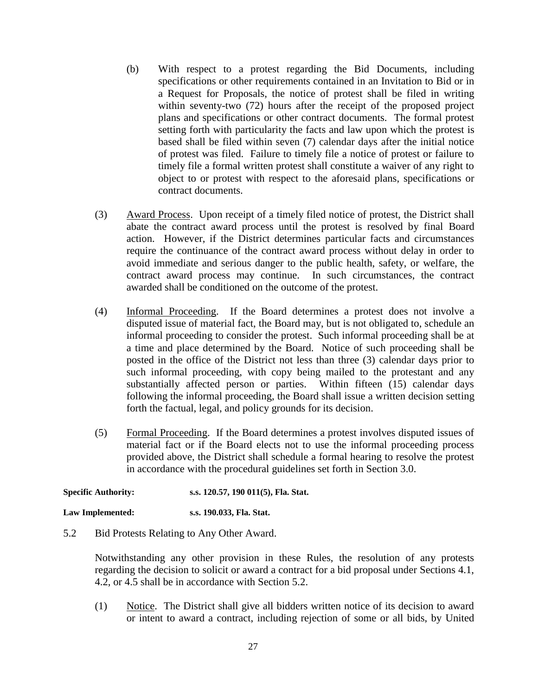- (b) With respect to a protest regarding the Bid Documents, including specifications or other requirements contained in an Invitation to Bid or in a Request for Proposals, the notice of protest shall be filed in writing within seventy-two (72) hours after the receipt of the proposed project plans and specifications or other contract documents. The formal protest setting forth with particularity the facts and law upon which the protest is based shall be filed within seven (7) calendar days after the initial notice of protest was filed. Failure to timely file a notice of protest or failure to timely file a formal written protest shall constitute a waiver of any right to object to or protest with respect to the aforesaid plans, specifications or contract documents.
- (3) Award Process. Upon receipt of a timely filed notice of protest, the District shall abate the contract award process until the protest is resolved by final Board action. However, if the District determines particular facts and circumstances require the continuance of the contract award process without delay in order to avoid immediate and serious danger to the public health, safety, or welfare, the contract award process may continue. In such circumstances, the contract awarded shall be conditioned on the outcome of the protest.
- (4) Informal Proceeding. If the Board determines a protest does not involve a disputed issue of material fact, the Board may, but is not obligated to, schedule an informal proceeding to consider the protest. Such informal proceeding shall be at a time and place determined by the Board. Notice of such proceeding shall be posted in the office of the District not less than three (3) calendar days prior to such informal proceeding, with copy being mailed to the protestant and any substantially affected person or parties. Within fifteen (15) calendar days following the informal proceeding, the Board shall issue a written decision setting forth the factual, legal, and policy grounds for its decision.
- (5) Formal Proceeding. If the Board determines a protest involves disputed issues of material fact or if the Board elects not to use the informal proceeding process provided above, the District shall schedule a formal hearing to resolve the protest in accordance with the procedural guidelines set forth in Section 3.0.

**Specific Authority: s.s. 120.57, 190 011(5), Fla. Stat.**

**Law Implemented: s.s. 190.033, Fla. Stat.**

5.2 Bid Protests Relating to Any Other Award.

Notwithstanding any other provision in these Rules, the resolution of any protests regarding the decision to solicit or award a contract for a bid proposal under Sections 4.1, 4.2, or 4.5 shall be in accordance with Section 5.2.

(1) Notice. The District shall give all bidders written notice of its decision to award or intent to award a contract, including rejection of some or all bids, by United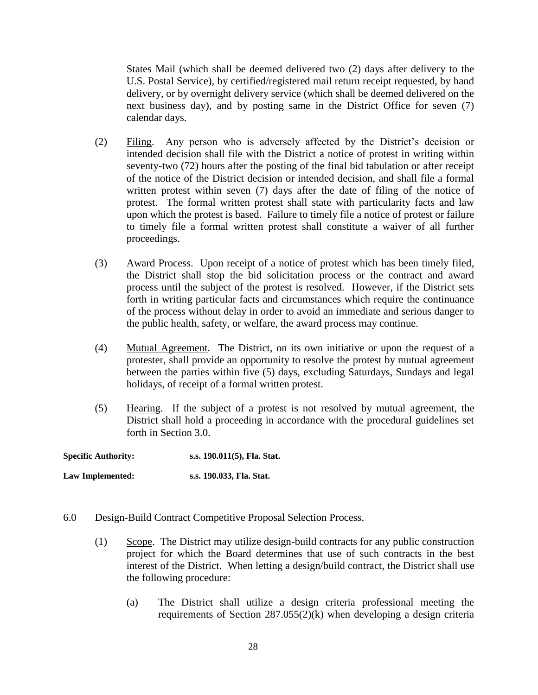States Mail (which shall be deemed delivered two (2) days after delivery to the U.S. Postal Service), by certified/registered mail return receipt requested, by hand delivery, or by overnight delivery service (which shall be deemed delivered on the next business day), and by posting same in the District Office for seven (7) calendar days.

- (2) Filing. Any person who is adversely affected by the District's decision or intended decision shall file with the District a notice of protest in writing within seventy-two (72) hours after the posting of the final bid tabulation or after receipt of the notice of the District decision or intended decision, and shall file a formal written protest within seven (7) days after the date of filing of the notice of protest. The formal written protest shall state with particularity facts and law upon which the protest is based. Failure to timely file a notice of protest or failure to timely file a formal written protest shall constitute a waiver of all further proceedings.
- (3) Award Process. Upon receipt of a notice of protest which has been timely filed, the District shall stop the bid solicitation process or the contract and award process until the subject of the protest is resolved. However, if the District sets forth in writing particular facts and circumstances which require the continuance of the process without delay in order to avoid an immediate and serious danger to the public health, safety, or welfare, the award process may continue.
- (4) Mutual Agreement. The District, on its own initiative or upon the request of a protester, shall provide an opportunity to resolve the protest by mutual agreement between the parties within five (5) days, excluding Saturdays, Sundays and legal holidays, of receipt of a formal written protest.
- (5) Hearing. If the subject of a protest is not resolved by mutual agreement, the District shall hold a proceeding in accordance with the procedural guidelines set forth in Section 3.0.

**Specific Authority: s.s. 190.011(5), Fla. Stat. Law Implemented: s.s. 190.033, Fla. Stat.**

- 6.0 Design-Build Contract Competitive Proposal Selection Process.
	- (1) Scope. The District may utilize design-build contracts for any public construction project for which the Board determines that use of such contracts in the best interest of the District. When letting a design/build contract, the District shall use the following procedure:
		- (a) The District shall utilize a design criteria professional meeting the requirements of Section 287.055(2)(k) when developing a design criteria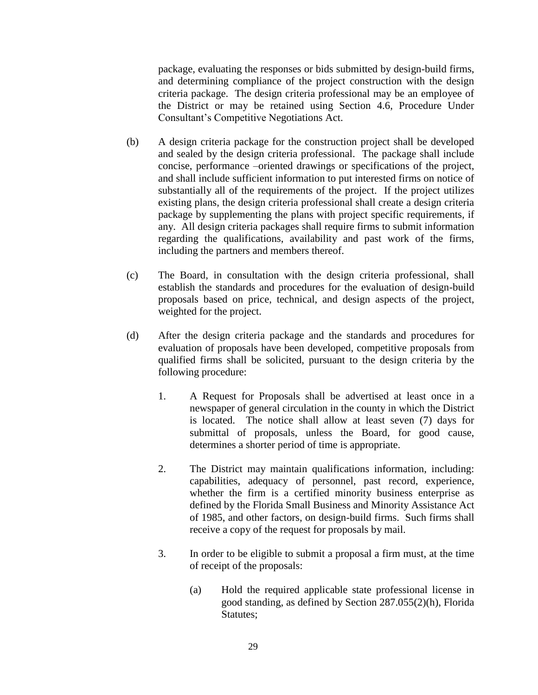package, evaluating the responses or bids submitted by design-build firms, and determining compliance of the project construction with the design criteria package. The design criteria professional may be an employee of the District or may be retained using Section 4.6, Procedure Under Consultant's Competitive Negotiations Act.

- (b) A design criteria package for the construction project shall be developed and sealed by the design criteria professional. The package shall include concise, performance –oriented drawings or specifications of the project, and shall include sufficient information to put interested firms on notice of substantially all of the requirements of the project. If the project utilizes existing plans, the design criteria professional shall create a design criteria package by supplementing the plans with project specific requirements, if any. All design criteria packages shall require firms to submit information regarding the qualifications, availability and past work of the firms, including the partners and members thereof.
- (c) The Board, in consultation with the design criteria professional, shall establish the standards and procedures for the evaluation of design-build proposals based on price, technical, and design aspects of the project, weighted for the project.
- (d) After the design criteria package and the standards and procedures for evaluation of proposals have been developed, competitive proposals from qualified firms shall be solicited, pursuant to the design criteria by the following procedure:
	- 1. A Request for Proposals shall be advertised at least once in a newspaper of general circulation in the county in which the District is located. The notice shall allow at least seven (7) days for submittal of proposals, unless the Board, for good cause, determines a shorter period of time is appropriate.
	- 2. The District may maintain qualifications information, including: capabilities, adequacy of personnel, past record, experience, whether the firm is a certified minority business enterprise as defined by the Florida Small Business and Minority Assistance Act of 1985, and other factors, on design-build firms. Such firms shall receive a copy of the request for proposals by mail.
	- 3. In order to be eligible to submit a proposal a firm must, at the time of receipt of the proposals:
		- (a) Hold the required applicable state professional license in good standing, as defined by Section 287.055(2)(h), Florida Statutes;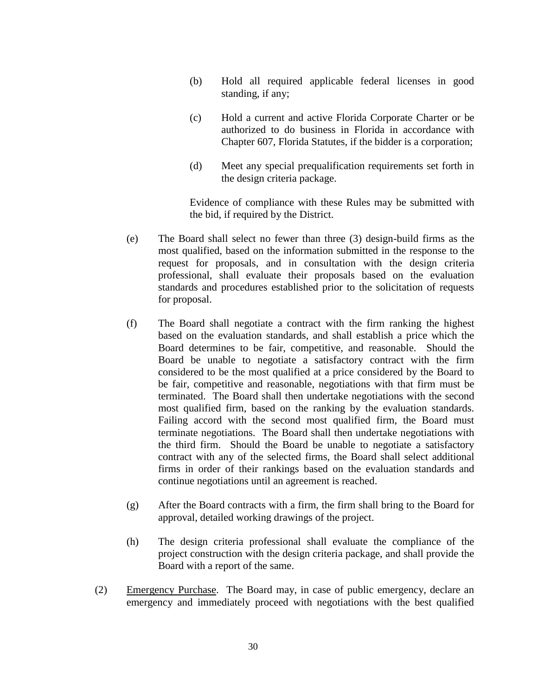- (b) Hold all required applicable federal licenses in good standing, if any;
- (c) Hold a current and active Florida Corporate Charter or be authorized to do business in Florida in accordance with Chapter 607, Florida Statutes, if the bidder is a corporation;
- (d) Meet any special prequalification requirements set forth in the design criteria package.

Evidence of compliance with these Rules may be submitted with the bid, if required by the District.

- (e) The Board shall select no fewer than three (3) design-build firms as the most qualified, based on the information submitted in the response to the request for proposals, and in consultation with the design criteria professional, shall evaluate their proposals based on the evaluation standards and procedures established prior to the solicitation of requests for proposal.
- (f) The Board shall negotiate a contract with the firm ranking the highest based on the evaluation standards, and shall establish a price which the Board determines to be fair, competitive, and reasonable. Should the Board be unable to negotiate a satisfactory contract with the firm considered to be the most qualified at a price considered by the Board to be fair, competitive and reasonable, negotiations with that firm must be terminated. The Board shall then undertake negotiations with the second most qualified firm, based on the ranking by the evaluation standards. Failing accord with the second most qualified firm, the Board must terminate negotiations. The Board shall then undertake negotiations with the third firm. Should the Board be unable to negotiate a satisfactory contract with any of the selected firms, the Board shall select additional firms in order of their rankings based on the evaluation standards and continue negotiations until an agreement is reached.
- (g) After the Board contracts with a firm, the firm shall bring to the Board for approval, detailed working drawings of the project.
- (h) The design criteria professional shall evaluate the compliance of the project construction with the design criteria package, and shall provide the Board with a report of the same.
- (2) Emergency Purchase. The Board may, in case of public emergency, declare an emergency and immediately proceed with negotiations with the best qualified